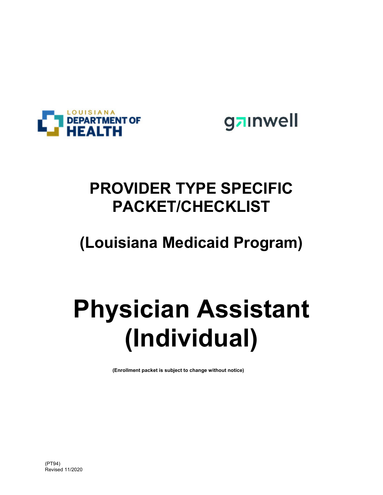



## **PROVIDER TYPE SPECIFIC PACKET/CHECKLIST**

## **(Louisiana Medicaid Program)**

# **Physician Assistant (Individual)**

**(Enrollment packet is subject to change without notice)**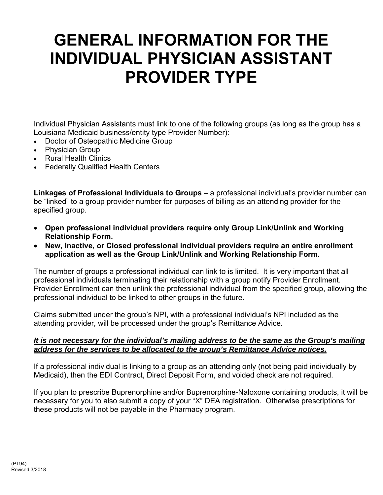## **GENERAL INFORMATION FOR THE INDIVIDUAL PHYSICIAN ASSISTANT PROVIDER TYPE**

Individual Physician Assistants must link to one of the following groups (as long as the group has a Louisiana Medicaid business/entity type Provider Number):

- Doctor of Osteopathic Medicine Group
- Physician Group
- Rural Health Clinics
- Federally Qualified Health Centers

**Linkages of Professional Individuals to Groups** – a professional individual's provider number can be "linked" to a group provider number for purposes of billing as an attending provider for the specified group.

- **Open professional individual providers require only Group Link/Unlink and Working Relationship Form.**
- **New, Inactive, or Closed professional individual providers require an entire enrollment application as well as the Group Link/Unlink and Working Relationship Form.**

The number of groups a professional individual can link to is limited. It is very important that all professional individuals terminating their relationship with a group notify Provider Enrollment. Provider Enrollment can then unlink the professional individual from the specified group, allowing the professional individual to be linked to other groups in the future.

Claims submitted under the group's NPI, with a professional individual's NPI included as the attending provider, will be processed under the group's Remittance Advice.

#### *It is not necessary for the individual's mailing address to be the same as the Group's mailing address for the services to be allocated to the group's Remittance Advice notices.*

If a professional individual is linking to a group as an attending only (not being paid individually by Medicaid), then the EDI Contract, Direct Deposit Form, and voided check are not required.

If you plan to prescribe Buprenorphine and/or Buprenorphine-Naloxone containing products, it will be necessary for you to also submit a copy of your "X" DEA registration. Otherwise prescriptions for these products will not be payable in the Pharmacy program.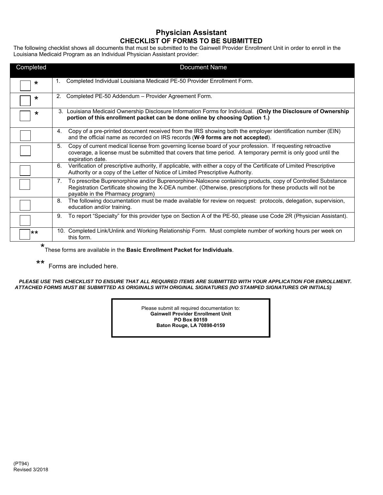#### **Physician Assistant CHECKLIST OF FORMS TO BE SUBMITTED**

The following checklist shows all documents that must be submitted to the Gainwell Provider Enrollment Unit in order to enroll in the Louisiana Medicaid Program as an Individual Physician Assistant provider:

| Completed | <b>Document Name</b>                                                                                                                                                                                                                                                         |  |  |  |  |  |  |  |  |
|-----------|------------------------------------------------------------------------------------------------------------------------------------------------------------------------------------------------------------------------------------------------------------------------------|--|--|--|--|--|--|--|--|
| $\star$   | Completed Individual Louisiana Medicaid PE-50 Provider Enrollment Form.<br>1.                                                                                                                                                                                                |  |  |  |  |  |  |  |  |
| $\star$   | Completed PE-50 Addendum - Provider Agreement Form.<br>2.                                                                                                                                                                                                                    |  |  |  |  |  |  |  |  |
| *         | 3. Louisiana Medicaid Ownership Disclosure Information Forms for Individual. (Only the Disclosure of Ownership<br>portion of this enrollment packet can be done online by choosing Option 1.)                                                                                |  |  |  |  |  |  |  |  |
|           | Copy of a pre-printed document received from the IRS showing both the employer identification number (EIN)<br>4.<br>and the official name as recorded on IRS records (W-9 forms are not accepted).                                                                           |  |  |  |  |  |  |  |  |
|           | 5.<br>Copy of current medical license from governing license board of your profession. If requesting retroactive<br>coverage, a license must be submitted that covers that time period. A temporary permit is only good until the<br>expiration date.                        |  |  |  |  |  |  |  |  |
|           | Verification of prescriptive authority, if applicable, with either a copy of the Certificate of Limited Prescriptive<br>6.<br>Authority or a copy of the Letter of Notice of Limited Prescriptive Authority.                                                                 |  |  |  |  |  |  |  |  |
|           | To prescribe Buprenorphine and/or Buprenorphine-Naloxone containing products, copy of Controlled Substance<br>$7_{\cdot}$<br>Registration Certificate showing the X-DEA number. (Otherwise, prescriptions for these products will not be<br>payable in the Pharmacy program) |  |  |  |  |  |  |  |  |
|           | The following documentation must be made available for review on request: protocols, delegation, supervision,<br>8.<br>education and/or training.                                                                                                                            |  |  |  |  |  |  |  |  |
|           | To report "Specialty" for this provider type on Section A of the PE-50, please use Code 2R (Physician Assistant).<br>9.                                                                                                                                                      |  |  |  |  |  |  |  |  |
| **        | 10. Completed Link/Unlink and Working Relationship Form. Must complete number of working hours per week on<br>this form.                                                                                                                                                     |  |  |  |  |  |  |  |  |

\* These forms are available in the **Basic Enrollment Packet for Individuals**.

\*\* Forms are included here.

*PLEASE USE THIS CHECKLIST TO ENSURE THAT ALL REQUIRED ITEMS ARE SUBMITTED WITH YOUR APPLICATION FOR ENROLLMENT. ATTACHED FORMS MUST BE SUBMITTED AS ORIGINALS WITH ORIGINAL SIGNATURES (NO STAMPED SIGNATURES OR INITIALS)* 

> Please submit all required documentation to: **Gainwell Provider Enrollment Unit PO Box 80159 Baton Rouge, LA 70898-0159**